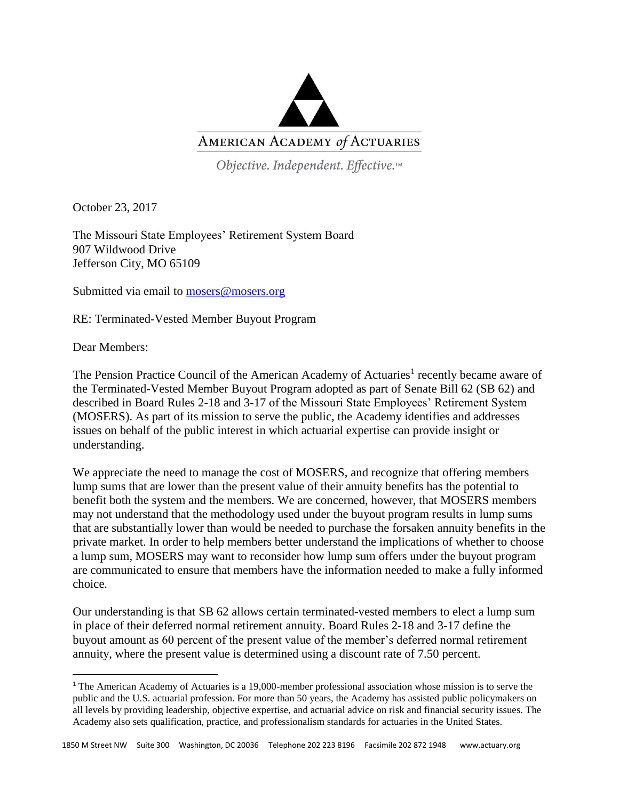

Objective. Independent. Effective.™

October 23, 2017

The Missouri State Employees' Retirement System Board 907 Wildwood Drive Jefferson City, MO 65109

Submitted via email to [mosers@mosers.org](mailto:mosers@mosers.org)

RE: Terminated-Vested Member Buyout Program

Dear Members:

 $\overline{\phantom{a}}$ 

The Pension Practice Council of the American Academy of Actuaries<sup>1</sup> recently became aware of the Terminated-Vested Member Buyout Program adopted as part of Senate Bill 62 (SB 62) and described in Board Rules 2-18 and 3-17 of the Missouri State Employees' Retirement System (MOSERS). As part of its mission to serve the public, the Academy identifies and addresses issues on behalf of the public interest in which actuarial expertise can provide insight or understanding.

We appreciate the need to manage the cost of MOSERS, and recognize that offering members lump sums that are lower than the present value of their annuity benefits has the potential to benefit both the system and the members. We are concerned, however, that MOSERS members may not understand that the methodology used under the buyout program results in lump sums that are substantially lower than would be needed to purchase the forsaken annuity benefits in the private market. In order to help members better understand the implications of whether to choose a lump sum, MOSERS may want to reconsider how lump sum offers under the buyout program are communicated to ensure that members have the information needed to make a fully informed choice.

Our understanding is that SB 62 allows certain terminated-vested members to elect a lump sum in place of their deferred normal retirement annuity. Board Rules 2-18 and 3-17 define the buyout amount as 60 percent of the present value of the member's deferred normal retirement annuity, where the present value is determined using a discount rate of 7.50 percent.

<sup>1</sup> The American Academy of Actuaries is a 19,000-member professional association whose mission is to serve the public and the U.S. actuarial profession. For more than 50 years, the Academy has assisted public policymakers on all levels by providing leadership, objective expertise, and actuarial advice on risk and financial security issues. The Academy also sets qualification, practice, and professionalism standards for actuaries in the United States.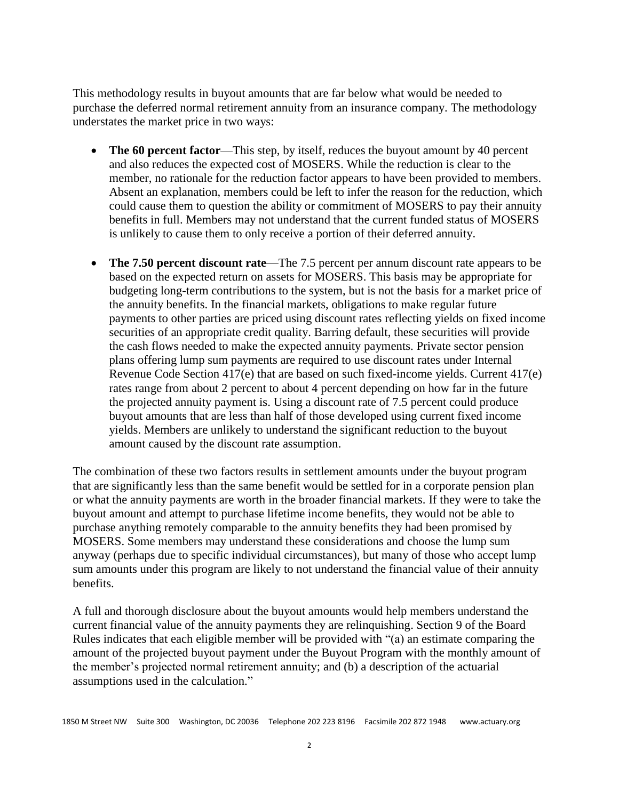This methodology results in buyout amounts that are far below what would be needed to purchase the deferred normal retirement annuity from an insurance company. The methodology understates the market price in two ways:

- The 60 percent factor—This step, by itself, reduces the buyout amount by 40 percent and also reduces the expected cost of MOSERS. While the reduction is clear to the member, no rationale for the reduction factor appears to have been provided to members. Absent an explanation, members could be left to infer the reason for the reduction, which could cause them to question the ability or commitment of MOSERS to pay their annuity benefits in full. Members may not understand that the current funded status of MOSERS is unlikely to cause them to only receive a portion of their deferred annuity.
- **The 7.50 percent discount rate**—The 7.5 percent per annum discount rate appears to be based on the expected return on assets for MOSERS. This basis may be appropriate for budgeting long-term contributions to the system, but is not the basis for a market price of the annuity benefits. In the financial markets, obligations to make regular future payments to other parties are priced using discount rates reflecting yields on fixed income securities of an appropriate credit quality. Barring default, these securities will provide the cash flows needed to make the expected annuity payments. Private sector pension plans offering lump sum payments are required to use discount rates under Internal Revenue Code Section 417(e) that are based on such fixed-income yields. Current 417(e) rates range from about 2 percent to about 4 percent depending on how far in the future the projected annuity payment is. Using a discount rate of 7.5 percent could produce buyout amounts that are less than half of those developed using current fixed income yields. Members are unlikely to understand the significant reduction to the buyout amount caused by the discount rate assumption.

The combination of these two factors results in settlement amounts under the buyout program that are significantly less than the same benefit would be settled for in a corporate pension plan or what the annuity payments are worth in the broader financial markets. If they were to take the buyout amount and attempt to purchase lifetime income benefits, they would not be able to purchase anything remotely comparable to the annuity benefits they had been promised by MOSERS. Some members may understand these considerations and choose the lump sum anyway (perhaps due to specific individual circumstances), but many of those who accept lump sum amounts under this program are likely to not understand the financial value of their annuity benefits.

A full and thorough disclosure about the buyout amounts would help members understand the current financial value of the annuity payments they are relinquishing. Section 9 of the Board Rules indicates that each eligible member will be provided with "(a) an estimate comparing the amount of the projected buyout payment under the Buyout Program with the monthly amount of the member's projected normal retirement annuity; and (b) a description of the actuarial assumptions used in the calculation."